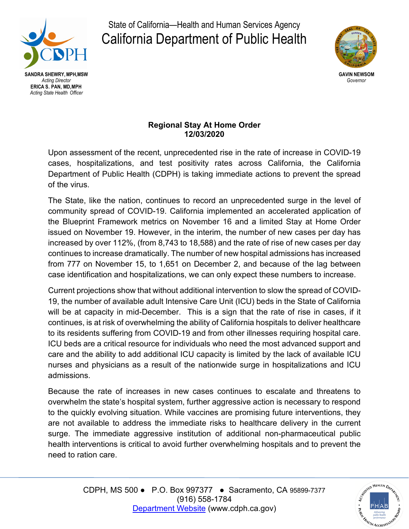

State of California—Health and Human Services Agency California Department of Public Health



## **Regional Stay At Home Order 12/03/2020**

 Upon assessment of the recent, unprecedented rise in the rate of increase in COVID-19 Department of Public Health (CDPH) is taking immediate actions to prevent the spread cases, hospitalizations, and test positivity rates across California, the California of the virus.

 community spread of COVID-19. California implemented an accelerated application of increased by over 112%, (from 8,743 to 18,588) and the rate of rise of new cases per day case identification and hospitalizations, we can only expect these numbers to increase. The State, like the nation, continues to record an unprecedented surge in the level of the Blueprint Framework metrics on November 16 and a limited Stay at Home Order issued on November 19. However, in the interim, the number of new cases per day has continues to increase dramatically. The number of new hospital admissions has increased from 777 on November 15, to 1,651 on December 2, and because of the lag between

admissions. Current projections show that without additional intervention to slow the spread of COVID-19, the number of available adult Intensive Care Unit (ICU) beds in the State of California will be at capacity in mid-December. This is a sign that the rate of rise in cases, if it continues, is at risk of overwhelming the ability of California hospitals to deliver healthcare to its residents suffering from COVID-19 and from other illnesses requiring hospital care. ICU beds are a critical resource for individuals who need the most advanced support and care and the ability to add additional ICU capacity is limited by the lack of available ICU nurses and physicians as a result of the nationwide surge in hospitalizations and ICU

 health interventions is critical to avoid further overwhelming hospitals and to prevent the Because the rate of increases in new cases continues to escalate and threatens to overwhelm the state's hospital system, further aggressive action is necessary to respond to the quickly evolving situation. While vaccines are promising future interventions, they are not available to address the immediate risks to healthcare delivery in the current surge. The immediate aggressive institution of additional non-pharmaceutical public need to ration care.

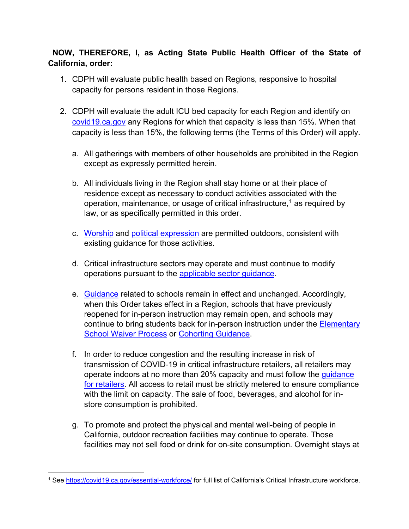## **NOW, THEREFORE, I, as Acting State Public Health Officer of the State of California, order:**

- 1. CDPH will evaluate public health based on Regions, responsive to hospital capacity for persons resident in those Regions.
- capacity is less than 15%, the following terms (the Terms of this Order) will apply. 2. CDPH will evaluate the adult ICU bed capacity for each Region and identify on covid19.ca.gov any Regions for which that capacity is less than 15%. When that
	- a. All gatherings with members of other households are prohibited in the Region except as expressly permitted herein.
	- b. All individuals living in the Region shall stay home or at their place of residence except as necessary to conduct activities associated with the operation, maintenance, or usage of critical infrastructure, [1](#page-1-0) as required by law, or as specifically permitted in this order.
	- c. <mark>Worship</mark> and <u>political expression</u> are permitted outdoors, consistent with existing guidance for those activities.
	- d. Critical infrastructure sectors may operate and must continue to modify operations pursuant to the [applicable sector guidance.](https://covid19.ca.gov/industry-guidance/)
	- e. <u>Guidance</u> related to schools remain in effect and unchanged. Accordingly, when this Order takes effect in a Region, schools that have previously reopened for in-person instruction may remain open, and schools may continue to bring students back for in-person instruction under the [Elementary](https://www.cdph.ca.gov/Programs/CID/DCDC/Pages/COVID-19/In-Person-Elementary-Waiver-Process.aspx)  **[School Waiver Process](https://www.cdph.ca.gov/Programs/CID/DCDC/Pages/COVID-19/In-Person-Elementary-Waiver-Process.aspx) or [Cohorting Guidance.](https://www.cdph.ca.gov/Programs/CID/DCDC/Pages/COVID-19/small-groups-child-youth.aspx)**
	- f. In order to reduce congestion and the resulting increase in risk of transmission of COVID-19 in critical infrastructure retailers, all retailers may operate indoors at no more than 20% capacity and must follow the *guidance* [for retailers.](https://files.covid19.ca.gov/pdf/guidance-retail--en.pdf) All access to retail must be strictly metered to ensure compliance with the limit on capacity. The sale of food, beverages, and alcohol for instore consumption is prohibited.
	- g. To promote and protect the physical and mental well-being of people in California, outdoor recreation facilities may continue to operate. Those facilities may not sell food or drink for on-site consumption. Overnight stays at

<span id="page-1-0"></span><sup>&</sup>lt;sup>1</sup>See <https://covid19.ca.gov/essential-workforce>[/](https://covid19.ca.gov/essential-workforce/) for full list of California's Critical Infrastructure workforce.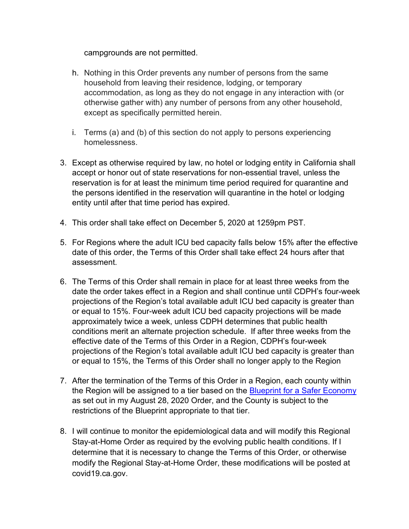campgrounds are not permitted.

- h. Nothing in this Order prevents any number of persons from the same household from leaving their residence, lodging, or temporary otherwise gather with) any number of persons from any other household, accommodation, as long as they do not engage in any interaction with (or except as specifically permitted herein.
- i. Terms (a) and (b) of this section do not apply to persons experiencing homelessness.
- accept or honor out of state reservations for non-essential travel, unless the entity until after that time period has expired. 3. Except as otherwise required by law, no hotel or lodging entity in California shall reservation is for at least the minimum time period required for quarantine and the persons identified in the reservation will quarantine in the hotel or lodging
- 4. This order shall take effect on December 5, 2020 at 1259pm PST.
- 5. For Regions where the adult ICU bed capacity falls below 15% after the effective date of this order, the Terms of this Order shall take effect 24 hours after that assessment.
- 6. The Terms of this Order shall remain in place for at least three weeks from the conditions merit an alternate projection schedule. If after three weeks from the effective date of the Terms of this Order in a Region, CDPH's four-week projections of the Region's total available adult ICU bed capacity is greater than or equal to 15%, the Terms of this Order shall no longer apply to the Region date the order takes effect in a Region and shall continue until CDPH's four-week projections of the Region's total available adult ICU bed capacity is greater than or equal to 15%. Four-week adult ICU bed capacity projections will be made approximately twice a week, unless CDPH determines that public health
- 7. After the termination of the Terms of this Order in a Region, each county within the Region will be assigned to a tier based on the Blueprint for a Safer Economy as set out in my August 28, 2020 Order, and the County is subject to the restrictions of the Blueprint appropriate to that tier.
- 8. I will continue to monitor the epidemiological data and will modify this Regional Stay-at-Home Order as required by the evolving public health conditions. If I determine that it is necessary to change the Terms of this Order, or otherwise modify the Regional Stay-at-Home Order, these modifications will be posted at [covid19.ca.gov](https://covid19.ca.gov).